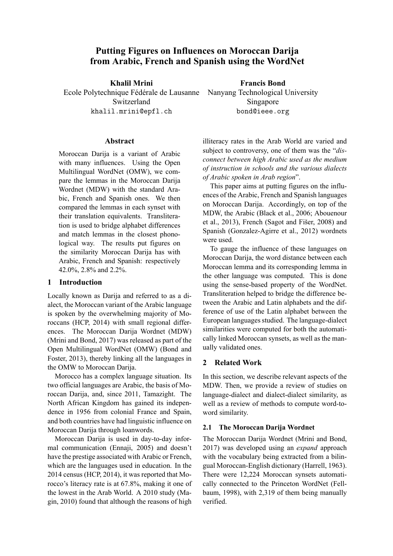# **Putting Figures on Influences on Moroccan Darija from Arabic, French and Spanish using the WordNet**

**Khalil Mrini**

Ecole Polytechnique Fédérale de Lausanne Switzerland khalil.mrini@epfl.ch

**Abstract**

Moroccan Darija is a variant of Arabic with many influences. Using the Open Multilingual WordNet (OMW), we compare the lemmas in the Moroccan Darija Wordnet (MDW) with the standard Arabic, French and Spanish ones. We then compared the lemmas in each synset with their translation equivalents. Transliteration is used to bridge alphabet differences and match lemmas in the closest phonological way. The results put figures on the similarity Moroccan Darija has with Arabic, French and Spanish: respectively 42.0%, 2.8% and 2.2%.

## **1 Introduction**

Locally known as Darija and referred to as a dialect, the Moroccan variant of the Arabic language is spoken by the overwhelming majority of Moroccans (HCP, 2014) with small regional differences. The Moroccan Darija Wordnet (MDW) (Mrini and Bond, 2017) was released as part of the Open Multilingual WordNet (OMW) (Bond and Foster, 2013), thereby linking all the languages in the OMW to Moroccan Darija.

Morocco has a complex language situation. Its two official languages are Arabic, the basis of Moroccan Darija, and, since 2011, Tamazight. The North African Kingdom has gained its independence in 1956 from colonial France and Spain, and both countries have had linguistic influence on Moroccan Darija through loanwords.

Moroccan Darija is used in day-to-day informal communication (Ennaji, 2005) and doesn't have the prestige associated with Arabic or French, which are the languages used in education. In the 2014 census (HCP, 2014), it was reported that Morocco's literacy rate is at 67.8%, making it one of the lowest in the Arab World. A 2010 study (Magin, 2010) found that although the reasons of high

illiteracy rates in the Arab World are varied and subject to controversy, one of them was the "*disconnect between high Arabic used as the medium of instruction in schools and the various dialects*

*of Arabic spoken in Arab region*". This paper aims at putting figures on the influences of the Arabic, French and Spanish languages on Moroccan Darija. Accordingly, on top of the MDW, the Arabic (Black et al., 2006; Abouenour et al., 2013), French (Sagot and Fišer, 2008) and Spanish (Gonzalez-Agirre et al., 2012) wordnets were used.

To gauge the influence of these languages on Moroccan Darija, the word distance between each Moroccan lemma and its corresponding lemma in the other language was computed. This is done using the sense-based property of the WordNet. Transliteration helped to bridge the difference between the Arabic and Latin alphabets and the difference of use of the Latin alphabet between the European languages studied. The language-dialect similarities were computed for both the automatically linked Moroccan synsets, as well as the manually validated ones.

# **2 Related Work**

In this section, we describe relevant aspects of the MDW. Then, we provide a review of studies on language-dialect and dialect-dialect similarity, as well as a review of methods to compute word-toword similarity.

# **2.1 The Moroccan Darija Wordnet**

The Moroccan Darija Wordnet (Mrini and Bond, 2017) was developed using an *expand* approach with the vocabulary being extracted from a bilingual Moroccan-English dictionary (Harrell, 1963). There were 12,224 Moroccan synsets automatically connected to the Princeton WordNet (Fellbaum, 1998), with 2,319 of them being manually verified.

**Francis Bond** Nanyang Technological University

> Singapore bond@ieee.org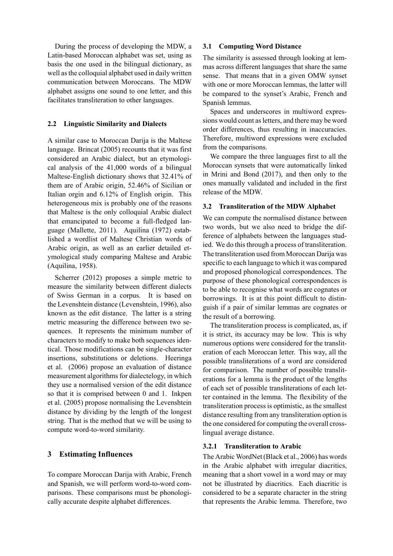During the process of developing the MDW, a Latin-based Moroccan alphabet was set, using as basis the one used in the bilingual dictionary, as well as the colloquial alphabet used in daily written communication between Moroccans. The MDW alphabet assigns one sound to one letter, and this facilitates transliteration to other languages.

### **2.2 Linguistic Similarity and Dialects**

A similar case to Moroccan Darija is the Maltese language. Brincat (2005) recounts that it was first considered an Arabic dialect, but an etymological analysis of the 41,000 words of a bilingual Maltese-English dictionary shows that 32.41% of them are of Arabic origin, 52.46% of Sicilian or Italian orgin and 6.12% of English origin. This heterogeneous mix is probably one of the reasons that Maltese is the only colloquial Arabic dialect that emancipated to become a full-fledged language (Mallette, 2011). Aquilina (1972) established a wordlist of Maltese Christian words of Arabic origin, as well as an earlier detailed etymological study comparing Maltese and Arabic (Aquilina, 1958).

Scherrer (2012) proposes a simple metric to measure the similarity between different dialects of Swiss German in a corpus. It is based on the Levenshtein distance (Levenshtein, 1996), also known as the edit distance. The latter is a string metric measuring the difference between two sequences. It represents the minimum number of characters to modify to make both sequences identical. Those modifications can be single-character insertions, substitutions or deletions. Heeringa et al. (2006) propose an evaluation of distance measurement algorithms for dialectelogy, in which they use a normalised version of the edit distance so that it is comprised between 0 and 1. Inkpen et al. (2005) propose normalising the Levenshtein distance by dividing by the length of the longest string. That is the method that we will be using to compute word-to-word similarity.

## **3 Estimating Influences**

To compare Moroccan Darija with Arabic, French and Spanish, we will perform word-to-word comparisons. These comparisons must be phonologically accurate despite alphabet differences.

### **3.1 Computing Word Distance**

The similarity is assessed through looking at lemmas across different languages that share the same sense. That means that in a given OMW synset with one or more Moroccan lemmas, the latter will be compared to the synset's Arabic, French and Spanish lemmas.

Spaces and underscores in multiword expressions would count as letters, and there may be word order differences, thus resulting in inaccuracies. Therefore, multiword expressions were excluded from the comparisons.

We compare the three languages first to all the Moroccan synsets that were automatically linked in Mrini and Bond (2017), and then only to the ones manually validated and included in the first release of the MDW.

#### **3.2 Transliteration of the MDW Alphabet**

We can compute the normalised distance between two words, but we also need to bridge the difference of alphabets between the languages studied. We do this through a process of transliteration. The transliteration used from Moroccan Darija was specific to each language to which it was compared and proposed phonological correspondences. The purpose of these phonological correspondences is to be able to recognise what words are cognates or borrowings. It is at this point difficult to distinguish if a pair of similar lemmas are cognates or the result of a borrowing.

The transliteration process is complicated, as, if it is strict, its accuracy may be low. This is why numerous options were considered for the transliteration of each Moroccan letter. This way, all the possible transliterations of a word are considered for comparison. The number of possible transliterations for a lemma is the product of the lengths of each set of possible transliterations of each letter contained in the lemma. The flexibility of the transliteration process is optimistic, as the smallest distance resulting from any transliteration option is the one considered for computing the overall crosslingual average distance.

#### **3.2.1 Transliteration to Arabic**

The Arabic WordNet (Black et al., 2006) has words in the Arabic alphabet with irregular diacritics, meaning that a short vowel in a word may or may not be illustrated by diacritics. Each diacritic is considered to be a separate character in the string that represents the Arabic lemma. Therefore, two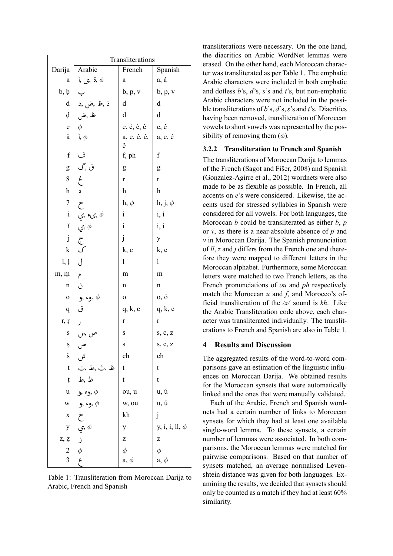|                | Transliterations                                                                                                                            |                       |                           |  |  |  |
|----------------|---------------------------------------------------------------------------------------------------------------------------------------------|-----------------------|---------------------------|--|--|--|
| Darija         | Arabic                                                                                                                                      | French                | Spanish                   |  |  |  |
| а              | ة ,ى ,ا $\phi$                                                                                                                              | a                     | a, á                      |  |  |  |
| b, b           | ب                                                                                                                                           | b, p, v               | b, p, v                   |  |  |  |
| d              | ذ ,ظ ,ض ,د                                                                                                                                  | d                     | d                         |  |  |  |
| d              | ظ ,ض                                                                                                                                        | d                     | d                         |  |  |  |
| ${\bf e}$      | $\phi$                                                                                                                                      | e, é, è, ê            | e, é                      |  |  |  |
| ă              | $\mathfrak{l}, \phi$                                                                                                                        | a, e, é, è,   a, e, é |                           |  |  |  |
| $\mathbf f$    | ف                                                                                                                                           | ê<br>f, ph            | $\rm f$                   |  |  |  |
|                | $\begin{pmatrix} 1 \\ -1 \\ 2 \\ 3 \end{pmatrix}$                                                                                           |                       |                           |  |  |  |
| g<br>8         |                                                                                                                                             | g                     | g                         |  |  |  |
|                |                                                                                                                                             | $\mathbf r$           | $\mathbf r$               |  |  |  |
| h              | $\mathfrak{o}$                                                                                                                              | h                     | $\boldsymbol{\mathrm{h}}$ |  |  |  |
| $\overline{7}$ |                                                                                                                                             | $h, \phi$             | $h, j, \phi$              |  |  |  |
| $\rm i$        |                                                                                                                                             | $\mathbf{i}$          | i, i                      |  |  |  |
| ĭ              | ل يې, د <sub>و</sub> چ, φ<br>په چې<br>ک                                                                                                     | $\rm i$               | i, i                      |  |  |  |
| $\mathbf{j}$   |                                                                                                                                             | $\mathbf{j}$          | y                         |  |  |  |
| k              |                                                                                                                                             | k, c                  | k, c                      |  |  |  |
| 1, 1           | $\overline{0}$                                                                                                                              | 1                     | 1                         |  |  |  |
| m, m           | $\hat{\mathcal{C}}$                                                                                                                         | m                     | m                         |  |  |  |
| $\mathbf n$    | ن                                                                                                                                           | n                     | n                         |  |  |  |
| $\mathbf{O}$   | وء ,و $,\phi$                                                                                                                               | $\mathbf 0$           | 0, 0                      |  |  |  |
| q              | ق                                                                                                                                           | q, k, c               | q, k, c                   |  |  |  |
| r, r           |                                                                                                                                             | $\mathbf r$           | r                         |  |  |  |
| S              |                                                                                                                                             | $\bf S$               | s, c, z                   |  |  |  |
| Ş              | ص ,س<br>ص                                                                                                                                   | S                     | S, C, Z                   |  |  |  |
| š              | ش                                                                                                                                           | ch                    | ch                        |  |  |  |
| $\mathbf t$    | ظ ,ث ,ط ,ت                                                                                                                                  | t                     | t                         |  |  |  |
| ţ              | ظ ,ط                                                                                                                                        | t                     | t                         |  |  |  |
| u              | وء ,و $\phi$                                                                                                                                | ou, u                 | u, ú                      |  |  |  |
| W              | وء ,و $,\phi$                                                                                                                               | w, ou                 | u, ú                      |  |  |  |
|                |                                                                                                                                             | kh                    | j                         |  |  |  |
|                |                                                                                                                                             | y                     | y, i, i, ll, $\phi$       |  |  |  |
| z, z           | $\begin{array}{c c}\n\ddot{\zeta} & \dot{\zeta} & \dot{\phi} \\ \hline\n\vdots & \vdots & \ddots & \vdots \\ 2 & \phi & \zeta\n\end{array}$ | z                     | Z                         |  |  |  |
|                |                                                                                                                                             | $\phi$                | $\phi$                    |  |  |  |
|                |                                                                                                                                             | $a, \phi$             | $a, \phi$                 |  |  |  |

Table 1: Transliteration from Moroccan Darija to Arabic, French and Spanish

transliterations were necessary. On the one hand, the diacritics on Arabic WordNet lemmas were erased. On the other hand, each Moroccan character was transliterated as per Table 1. The emphatic Arabic characters were included in both emphatic and dotless *b*'s, *d*'s, *s*'s and *t*'s, but non-emphatic Arabic characters were not included in the possible transliterations of *ḅ*'s, *ḍ*'s,*ṣ*'s and *ṭ*'s. Diacritics having been removed, transliteration of Moroccan vowels to short vowels was represented by the possibility of removing them  $(\phi)$ .

### **3.2.2 Transliteration to French and Spanish**

The transliterations of Moroccan Darija to lemmas of the French (Sagot and Fišer, 2008) and Spanish (Gonzalez-Agirre et al., 2012) wordnets were also made to be as flexible as possible. In French, all accents on *e*'s were considered. Likewise, the accents used for stressed syllables in Spanish were considered for all vowels. For both languages, the Moroccan *b* could be transliterated as either *b*, *p* or *v*, as there is a near-absolute absence of *p* and *v* in Moroccan Darija. The Spanish pronunciation of *ll*, *z* and *j* differs from the French one and therefore they were mapped to different letters in the Moroccan alphabet. Furthermore, some Moroccan letters were matched to two French letters, as the French pronunciations of *ou* and *ph* respectively match the Moroccan *u* and *f*, and Morocco's official transliteration of the */x/* sound is *kh*. Like the Arabic Transliteration code above, each character was transliterated individually. The transliterations to French and Spanish are also in Table 1.

#### **4 Results and Discussion**

The aggregated results of the word-to-word comparisons gave an estimation of the linguistic influences on Moroccan Darija. We obtained results for the Moroccan synsets that were automatically linked and the ones that were manually validated.

Each of the Arabic, French and Spanish wordnets had a certain number of links to Moroccan synsets for which they had at least one available single-word lemma. To these synsets, a certain number of lemmas were associated. In both comparisons, the Moroccan lemmas were matched for pairwise comparisons. Based on that number of synsets matched, an average normalised Levenshtein distance was given for both languages. Examining the results, we decided that synsets should only be counted as a match if they had at least 60% similarity.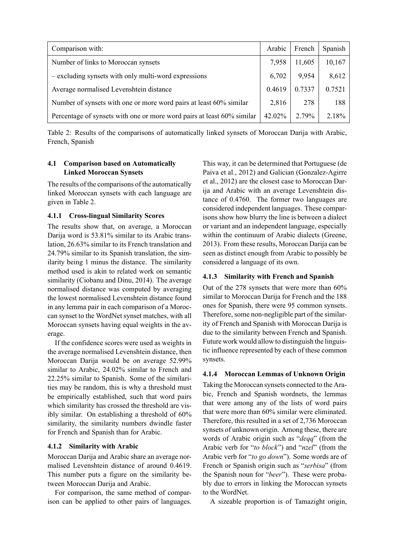| Comparison with:                                                       |  | French | Spanish |
|------------------------------------------------------------------------|--|--------|---------|
| Number of links to Moroccan synsets                                    |  | 11,605 | 10,167  |
| - excluding synsets with only multi-word expressions                   |  | 9,954  | 8,612   |
| Average normalised Levenshtein distance                                |  | 0.7337 | 0.7521  |
| Number of synsets with one or more word pairs at least 60% similar     |  | 278    | 188     |
| Percentage of synsets with one or more word pairs at least 60% similar |  | 2.79%  | 2.18%   |

Table 2: Results of the comparisons of automatically linked synsets of Moroccan Darija with Arabic, French, Spanish

# **4.1 Comparison based on Automatically Linked Moroccan Synsets**

The results of the comparisons of the automatically linked Moroccan synsets with each language are given in Table 2.

## **4.1.1 Cross-lingual Similarity Scores**

The results show that, on average, a Moroccan Darija word is 53.81% similar to its Arabic translation, 26.63% similar to its French translation and 24.79% similar to its Spanish translation, the similarity being 1 minus the distance. The similarity method used is akin to related work on semantic similarity (Ciobanu and Dinu, 2014). The average normalised distance was computed by averaging the lowest normalised Levenshtein distance found in any lemma pair in each comparison of a Moroccan synset to the WordNet synset matches, with all Moroccan synsets having equal weights in the average.

If the confidence scores were used as weights in the average normalised Levenshtein distance, then Moroccan Darija would be on average 52.99% similar to Arabic, 24.02% similar to French and 22.25% similar to Spanish. Some of the similarities may be random, this is why a threshold must be empirically established, such that word pairs which similarity has crossed the threshold are visibly similar. On establishing a threshold of 60% similarity, the similarity numbers dwindle faster for French and Spanish than for Arabic.

## **4.1.2 Similarity with Arabic**

Moroccan Darija and Arabic share an average normalised Levenshtein distance of around 0.4619. This number puts a figure on the similarity between Moroccan Darija and Arabic.

For comparison, the same method of comparison can be applied to other pairs of languages.

This way, it can be determined that Portuguese (de Paiva et al., 2012) and Galician (Gonzalez-Agirre et al., 2012) are the closest case to Moroccan Darija and Arabic with an average Levenshtein distance of 0.4760. The former two languages are considered independent languages. These comparisons show how blurry the line is between a dialect or variant and an independent language, especially within the continuum of Arabic dialects (Greene, 2013). From these results, Moroccan Darija can be seen as distinct enough from Arabic to possibly be considered a language of its own.

# **4.1.3 Similarity with French and Spanish**

Out of the 278 synsets that were more than 60% similar to Moroccan Darija for French and the 188 ones for Spanish, there were 95 common synsets. Therefore, some non-negligible part of the similarity of French and Spanish with Moroccan Darija is due to the similarity between French and Spanish. Future work would allow to distinguish the linguistic influence represented by each of these common synsets.

# **4.1.4 Moroccan Lemmas of Unknown Origin**

Taking the Moroccan synsets connected to the Arabic, French and Spanish wordnets, the lemmas that were among any of the lists of word pairs that were more than 60% similar were eliminated. Therefore, this resulted in a set of 2,736 Moroccan synsets of unknown origin. Among these, there are words of Arabic origin such as "*deqq*" (from the Arabic verb for "*to block*") and "*nzel*" (from the Arabic verb for "*to go down*"). Some words are of French or Spanish origin such as "*serbisa*" (from the Spanish noun for "*beer*"). These were probably due to errors in linking the Moroccan synsets to the WordNet.

A sizeable proportion is of Tamazight origin,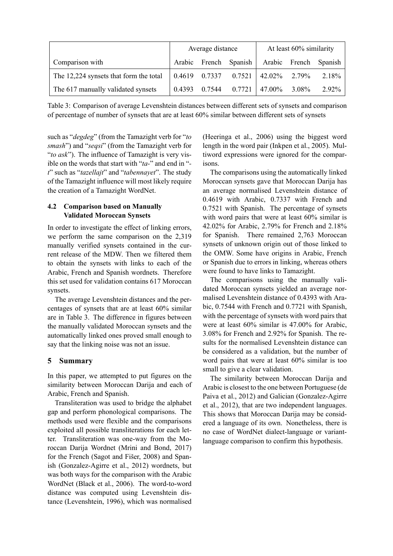|                                        | Average distance |  | At least 60% similarity                    |  |  |                       |
|----------------------------------------|------------------|--|--------------------------------------------|--|--|-----------------------|
| Comparison with                        | Arabic           |  | French Spanish                             |  |  | Arabic French Spanish |
| The 12,224 synsets that form the total |                  |  | $0.4619$ $0.7337$ $0.7521$ $42.02\%$ 2.79% |  |  | $2.18\%$              |
| The 617 manually validated synsets     | 0.4393           |  | $0.7544$ $0.7721$   47.00% 3.08%           |  |  | $2.92\%$              |

Table 3: Comparison of average Levenshtein distances between different sets of synsets and comparison of percentage of number of synsets that are at least 60% similar between different sets of synsets

such as "*degdeg*" (from the Tamazight verb for "*to smash*") and "*seqsi*" (from the Tamazight verb for "*to ask*"). The influence of Tamazight is very visible on the words that start with "*ta-*" and end in " *t*" such as "*tazellajt*" and "*tabennayet*". The study of the Tamazight influence will most likely require the creation of a Tamazight WordNet.

# **4.2 Comparison based on Manually Validated Moroccan Synsets**

In order to investigate the effect of linking errors, we perform the same comparison on the 2,319 manually verified synsets contained in the current release of the MDW. Then we filtered them to obtain the synsets with links to each of the Arabic, French and Spanish wordnets. Therefore this set used for validation contains 617 Moroccan synsets.

The average Levenshtein distances and the percentages of synsets that are at least 60% similar are in Table 3. The difference in figures between the manually validated Moroccan synsets and the automatically linked ones proved small enough to say that the linking noise was not an issue.

# **5 Summary**

In this paper, we attempted to put figures on the similarity between Moroccan Darija and each of Arabic, French and Spanish.

Transliteration was used to bridge the alphabet gap and perform phonological comparisons. The methods used were flexible and the comparisons exploited all possible transliterations for each letter. Transliteration was one-way from the Moroccan Darija Wordnet (Mrini and Bond, 2017) for the French (Sagot and Fišer, 2008) and Spanish (Gonzalez-Agirre et al., 2012) wordnets, but was both ways for the comparison with the Arabic WordNet (Black et al., 2006). The word-to-word distance was computed using Levenshtein distance (Levenshtein, 1996), which was normalised (Heeringa et al., 2006) using the biggest word length in the word pair (Inkpen et al., 2005). Multiword expressions were ignored for the comparisons.

The comparisons using the automatically linked Moroccan synsets gave that Moroccan Darija has an average normalised Levenshtein distance of 0.4619 with Arabic, 0.7337 with French and 0.7521 with Spanish. The percentage of synsets with word pairs that were at least 60% similar is 42.02% for Arabic, 2.79% for French and 2.18% for Spanish. There remained 2,763 Moroccan synsets of unknown origin out of those linked to the OMW. Some have origins in Arabic, French or Spanish due to errors in linking, whereas others were found to have links to Tamazight.

The comparisons using the manually validated Moroccan synsets yielded an average normalised Levenshtein distance of 0.4393 with Arabic, 0.7544 with French and 0.7721 with Spanish, with the percentage of synsets with word pairs that were at least 60% similar is 47.00% for Arabic, 3.08% for French and 2.92% for Spanish. The results for the normalised Levenshtein distance can be considered as a validation, but the number of word pairs that were at least 60% similar is too small to give a clear validation.

The similarity between Moroccan Darija and Arabic is closest to the one between Portuguese (de Paiva et al., 2012) and Galician (Gonzalez-Agirre et al., 2012), that are two independent languages. This shows that Moroccan Darija may be considered a language of its own. Nonetheless, there is no case of WordNet dialect-language or variantlanguage comparison to confirm this hypothesis.